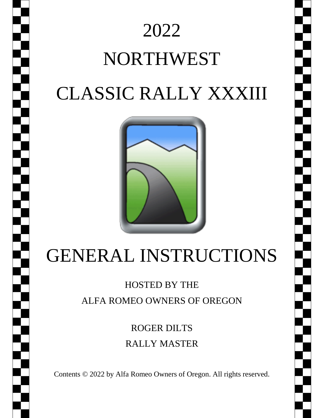

# 2022 NORTHWEST CLASSIC RALLY XXXIII



## GENERAL INSTRUCTIONS

### HOSTED BY THE ALFA ROMEO OWNERS OF OREGON

ROGER DILTS RALLY MASTER

Contents © 2022 by Alfa Romeo Owners of Oregon. All rights reserved.

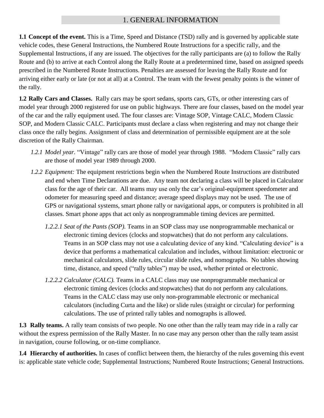#### 1. GENERAL INFORMATION

**1.1 Concept of the event.** This is a Time, Speed and Distance (TSD) rally and is governed by applicable state vehicle codes, these General Instructions, the Numbered Route Instructions for a specific rally, and the Supplemental Instructions, if any are issued. The objectives for the rally participants are (a) to follow the Rally Route and (b) to arrive at each Control along the Rally Route at a predetermined time, based on assigned speeds prescribed in the Numbered Route Instructions. Penalties are assessed for leaving the Rally Route and for arriving either early or late (or not at all) at a Control. The team with the fewest penalty points is the winner of the rally.

**1.2 Rally Cars and Classes.** Rally cars may be sport sedans, sports cars, GTs, or other interesting cars of model year through 2000 registered for use on public highways. There are four classes, based on the model year of the car and the rally equipment used. The four classes are: Vintage SOP, Vintage CALC, Modern Classic SOP, and Modern Classic CALC. Participants must declare a class when registering and may not change their class once the rally begins. Assignment of class and determination of permissible equipment are at the sole discretion of the Rally Chairman.

- *1.2.1 Model year.* "Vintage" rally cars are those of model year through 1988. "Modern Classic" rally cars are those of model year 1989 through 2000.
- *1.2.2 Equipment:* The equipment restrictions begin when the Numbered Route Instructions are distributed and end when Time Declarations are due. Any team not declaring a class will be placed in Calculator class for the age of their car. All teams may use only the car's original-equipment speedometer and odometer for measuring speed and distance; average speed displays may not be used. The use of GPS or navigational systems, smart phone rally or navigational apps, or computers is prohibited in all classes. Smart phone apps that act only as nonprogrammable timing devices are permitted.
	- *1.2.2.1 Seat of the Pants (SOP).* Teams in an SOP class may use nonprogrammable mechanical or electronic timing devices (clocks and stopwatches) that do not perform any calculations. Teams in an SOP class may not use a calculating device of any kind. "Calculating device" is a device that performs a mathematical calculation and includes, without limitation: electronic or mechanical calculators, slide rules, circular slide rules, and nomographs. No tables showing time, distance, and speed ("rally tables") may be used, whether printed or electronic.
	- *1.2.2.2 Calculator (CALC).* Teams in a CALC class may use nonprogrammable mechanical or electronic timing devices (clocks and stopwatches) that do not perform any calculations. Teams in the CALC class may use only non-programmable electronic or mechanical calculators (including Curta and the like) or slide rules (straight or circular) for performing calculations. The use of printed rally tables and nomographs is allowed.

**1.3 Rally teams.** A rally team consists of two people. No one other than the rally team may ride in a rally car without the express permission of the Rally Master. In no case may any person other than the rally team assist in navigation, course following, or on-time compliance.

**1.4 Hierarchy of authorities.** In cases of conflict between them, the hierarchy of the rules governing this event is: applicable state vehicle code; Supplemental Instructions; Numbered Route Instructions; General Instructions.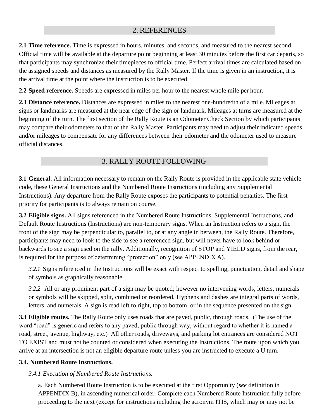#### 2. REFERENCES

**2.1 Time reference.** Time is expressed in hours, minutes, and seconds, and measured to the nearest second. Official time will be available at the departure point beginning at least 30 minutes before the first car departs, so that participants may synchronize their timepieces to official time. Perfect arrival times are calculated based on the assigned speeds and distances as measured by the Rally Master. If the time is given in an instruction, it is the arrival time at the point where the instruction is to be executed.

**2.2 Speed reference.** Speeds are expressed in miles per hour to the nearest whole mile per hour.

**2.3 Distance reference.** Distances are expressed in miles to the nearest one-hundredth of a mile. Mileages at signs or landmarks are measured at the near edge of the sign or landmark. Mileages at turns are measured at the beginning of the turn. The first section of the Rally Route is an Odometer Check Section by which participants may compare their odometers to that of the Rally Master. Participants may need to adjust their indicated speeds and/or mileages to compensate for any differences between their odometer and the odometer used to measure official distances.

#### 3. RALLY ROUTE FOLLOWING

**3.1 General.** All information necessary to remain on the Rally Route is provided in the applicable state vehicle code, these General Instructions and the Numbered Route Instructions (including any Supplemental Instructions). Any departure from the Rally Route exposes the participants to potential penalties. The first priority for participants is to always remain on course.

**3.2 Eligible signs.** All signs referenced in the Numbered Route Instructions, Supplemental Instructions, and Default Route Instructions (Instructions) are non-temporary signs. When an Instruction refers to a sign, the front of the sign may be perpendicular to, parallel to, or at any angle in between, the Rally Route. Therefore, participants may need to look to the side to see a referenced sign, but will never have to look behind or backwards to see a sign used on the rally. Additionally, recognition of STOP and YIELD signs, from the rear, is required for the purpose of determining "protection" only (see APPENDIX A).

*3.2.1* Signs referenced in the Instructions will be exact with respect to spelling, punctuation, detail and shape of symbols as graphically reasonable.

*3.2.2* All or any prominent part of a sign may be quoted; however no intervening words, letters, numerals or symbols will be skipped, split, combined or reordered. Hyphens and dashes are integral parts of words, letters, and numerals. A sign is read left to right, top to bottom, or in the sequence presented on the sign.

**3.3 Eligible routes.** The Rally Route only uses roads that are paved, public, through roads. (The use of the word "road" is generic and refers to any paved, public through way, without regard to whether it is named a road, street, avenue, highway, etc.) All other roads, driveways, and parking lot entrances are considered NOT TO EXIST and must not be counted or considered when executing the Instructions. The route upon which you arrive at an intersection is not an eligible departure route unless you are instructed to execute a U turn.

#### **3.4. Numbered Route Instructions.**

#### *3.4.1 Execution of Numbered Route Instructions.*

a. Each Numbered Route Instruction is to be executed at the first Opportunity (*see* definition in APPENDIX B), in ascending numerical order. Complete each Numbered Route Instruction fully before proceeding to the next (except for instructions including the acronym ITIS, which may or may not be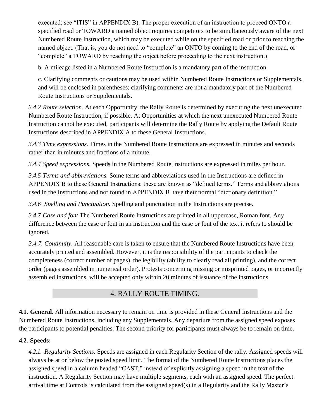executed; see "ITIS" in APPENDIX B). The proper execution of an instruction to proceed ONTO a specified road or TOWARD a named object requires competitors to be simultaneously aware of the next Numbered Route Instruction, which may be executed while on the specified road or prior to reaching the named object. (That is, you do not need to "complete" an ONTO by coming to the end of the road, or "complete" a TOWARD by reaching the object before proceeding to the next instruction.)

b. A mileage listed in a Numbered Route Instruction is a mandatory part of the instruction.

c. Clarifying comments or cautions may be used within Numbered Route Instructions or Supplementals, and will be enclosed in parentheses; clarifying comments are not a mandatory part of the Numbered Route Instructions or Supplementals.

*3.4.2 Route selection.* At each Opportunity, the Rally Route is determined by executing the next unexecuted Numbered Route Instruction, if possible. At Opportunities at which the next unexecuted Numbered Route Instruction cannot be executed, participants will determine the Rally Route by applying the Default Route Instructions described in APPENDIX A to these General Instructions.

*3.4.3 Time expressions.* Times in the Numbered Route Instructions are expressed in minutes and seconds rather than in minutes and fractions of a minute.

*3.4.4 Speed expressions.* Speeds in the Numbered Route Instructions are expressed in miles per hour.

*3.4.5 Terms and abbreviations.* Some terms and abbreviations used in the Instructions are defined in APPENDIX B to these General Instructions; these are known as "defined terms." Terms and abbreviations used in the Instructions and not found in APPENDIX B have their normal "dictionary definition."

*3.4.6 Spelling and Punctuation.* Spelling and punctuation in the Instructions are precise.

*3.4.7 Case and font* The Numbered Route Instructions are printed in all uppercase, Roman font. Any difference between the case or font in an instruction and the case or font of the text it refers to should be ignored.

*3.4.7. Continuity.* All reasonable care is taken to ensure that the Numbered Route Instructions have been accurately printed and assembled. However, it is the responsibility of the participants to check the completeness (correct number of pages), the legibility (ability to clearly read all printing), and the correct order (pages assembled in numerical order). Protests concerning missing or misprinted pages, or incorrectly assembled instructions, will be accepted only within 20 minutes of issuance of the instructions.

#### 4. RALLY ROUTE TIMING.

**4.1. General.** All information necessary to remain on time is provided in these General Instructions and the Numbered Route Instructions, including any Supplementals. Any departure from the assigned speed exposes the participants to potential penalties. The second priority for participants must always be to remain on time.

#### **4.2. Speeds:**

*4.2.1. Regularity Sections.* Speeds are assigned in each Regularity Section of the rally. Assigned speeds will always be at or below the posted speed limit. The format of the Numbered Route Instructions places the assigned speed in a column headed "CAST," instead of explicitly assigning a speed in the text of the instruction. A Regularity Section may have multiple segments, each with an assigned speed. The perfect arrival time at Controls is calculated from the assigned speed(s) in a Regularity and the Rally Master's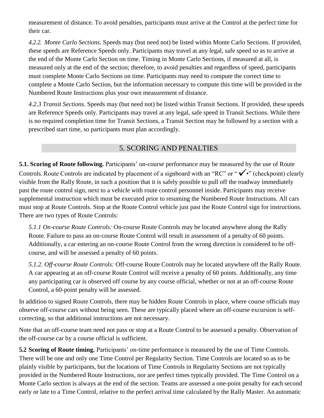measurement of distance. To avoid penalties, participants must arrive at the Control at the perfect time for their car.

*4.2.2. Monte Carlo Sections.* Speeds may (but need not) be listed within Monte Carlo Sections. If provided, these speeds are Reference Speeds only. Participants may travel at any legal, safe speed so as to arrive at the end of the Monte Carlo Section on time. Timing in Monte Carlo Sections, if measured at all, is measured only at the end of the section; therefore, to avoid penalties and regardless of speed, participants must complete Monte Carlo Sections on time. Participants may need to compute the correct time to complete a Monte Carlo Section, but the information necessary to compute this time will be provided in the Numbered Route Instructions plus your own measurement of distance.

*4.2.3 Transit Sections.* Speeds may (but need not) be listed within Transit Sections. If provided, these speeds are Reference Speeds only. Participants may travel at any legal, safe speed in Transit Sections. While there is no required completion time for Transit Sections, a Transit Section may be followed by a section with a prescribed start time, so participants must plan accordingly.

#### 5. SCORING AND PENALTIES

**5.1. Scoring of Route following.** Participants' on-course performance may be measured by the use of Route Controls. Route Controls are indicated by placement of a signboard with an "RC" or " $\checkmark$ " (checkpoint) clearly visible from the Rally Route, in such a position that it is safely possible to pull off the roadway immediately past the route control sign, next to a vehicle with route control personnel inside. Participants may receive supplemental instruction which must be executed prior to resuming the Numbered Route Instructions. All cars must stop at Route Controls. Stop at the Route Control vehicle just past the Route Control sign for instructions. There are two types of Route Controls:

*5.1.1 On*‐*course Route Controls:* On‐course Route Controls may be located anywhere along the Rally Route. Failure to pass an on-course Route Control will result in assessment of a penalty of 60 points. Additionally, a car entering an on‐course Route Control from the wrong direction is considered to be off‐ course, and will be assessed a penalty of 60 points.

*5.1.2. Off*‐*course Route Controls:* Off‐course Route Controls may be located anywhere off the Rally Route. A car appearing at an off‐course Route Control will receive a penalty of 60 points. Additionally, any time any participating car is observed off course by any course official, whether or not at an off‐course Route Control, a 60‐point penalty will be assessed.

In addition to signed Route Controls, there may be hidden Route Controls in place, where course officials may observe off-course cars without being seen. These are typically placed where an off-course excursion is selfcorrecting, so that additional instructions are not necessary.

Note that an off-course team need not pass or stop at a Route Control to be assessed a penalty. Observation of the off-course car by a course official is sufficient.

**5.2 Scoring of Route timing.** Participants' on-time performance is measured by the use of Time Controls. There will be one and only one Time Control per Regularity Section. Time Controls are located so as to be plainly visible by participants, but the locations of Time Controls in Regularity Sections are not typically provided in the Numbered Route Instructions, nor are perfect times typically provided. The Time Control on a Monte Carlo section is always at the end of the section. Teams are assessed a one-point penalty for each second early or late to a Time Control, relative to the perfect arrival time calculated by the Rally Master. An automatic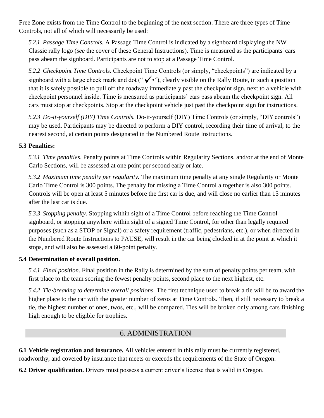Free Zone exists from the Time Control to the beginning of the next section. There are three types of Time Controls, not all of which will necessarily be used:

*5.2.1 Passage Time Controls.* A Passage Time Control is indicated by a signboard displaying the NW Classic rally logo (*see* the cover of these General Instructions). Time is measured as the participants' cars pass abeam the signboard. Participants are not to stop at a Passage Time Control.

*5.2.2 Checkpoint Time Controls.* Checkpoint Time Controls (or simply, "checkpoints") are indicated by a signboard with a large check mark and dot (" $\checkmark$ "), clearly visible on the Rally Route, in such a position that it is safely possible to pull off the roadway immediately past the checkpoint sign, next to a vehicle with checkpoint personnel inside. Time is measured as participants' cars pass abeam the checkpoint sign. All cars must stop at checkpoints. Stop at the checkpoint vehicle just past the checkpoint sign for instructions.

*5.2.3 Do*‐*it*‐*yourself (DIY) Time Controls.* Do‐it‐yourself (DIY) Time Controls (or simply, "DIY controls") may be used. Participants may be directed to perform a DIY control, recording their time of arrival, to the nearest second, at certain points designated in the Numbered Route Instructions.

#### **5.3 Penalties:**

*5.3.1 Time penalties*. Penalty points at Time Controls within Regularity Sections, and/or at the end of Monte Carlo Sections, will be assessed at one point per second early or late.

*5.3.2 Maximum time penalty per regularity.* The maximum time penalty at any single Regularity or Monte Carlo Time Control is 300 points. The penalty for missing a Time Control altogether is also 300 points. Controls will be open at least 5 minutes before the first car is due, and will close no earlier than 15 minutes after the last car is due.

*5.3.3 Stopping penalty.* Stopping within sight of a Time Control before reaching the Time Control signboard, or stopping anywhere within sight of a signed Time Control, for other than legally required purposes (such as a STOP or Signal) or a safety requirement (traffic, pedestrians, etc.), or when directed in the Numbered Route Instructions to PAUSE, will result in the car being clocked in at the point at which it stops, and will also be assessed a 60‐point penalty.

#### **5.4 Determination of overall position.**

*5.4.1 Final position.* Final position in the Rally is determined by the sum of penalty points per team, with first place to the team scoring the fewest penalty points, second place to the next highest, etc.

*5.4.2 Tie*‐*breaking to determine overall positions.* The first technique used to break a tie will be to award the higher place to the car with the greater number of zeros at Time Controls. Then, if still necessary to break a tie, the highest number of ones, twos, etc., will be compared. Ties will be broken only among cars finishing high enough to be eligible for trophies.

#### 6. ADMINISTRATION

**6.1 Vehicle registration and insurance.** All vehicles entered in this rally must be currently registered, roadworthy, and covered by insurance that meets or exceeds the requirements of the State of Oregon.

**6.2 Driver qualification.** Drivers must possess a current driver's license that is valid in Oregon.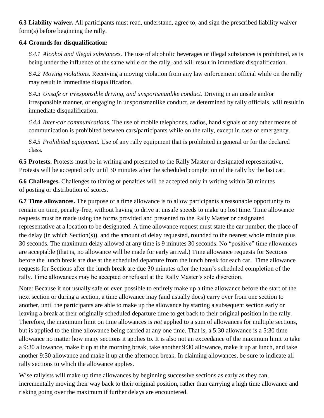**6.3 Liability waiver.** All participants must read, understand, agree to, and sign the prescribed liability waiver form(s) before beginning the rally.

#### **6.4 Grounds for disqualification:**

*6.4.1 Alcohol and illegal substances*. The use of alcoholic beverages or illegal substances is prohibited, as is being under the influence of the same while on the rally, and will result in immediate disqualification.

*6.4.2 Moving violations.* Receiving a moving violation from any law enforcement official while on the rally may result in immediate disqualification.

*6.4.3 Unsafe or irresponsible driving, and unsportsmanlike conduct*. Driving in an unsafe and/or irresponsible manner, or engaging in unsportsmanlike conduct, as determined by rally officials, will result in immediate disqualification.

*6.4.4 Inter*‐*car communications.* The use of mobile telephones, radios, hand signals or any other means of communication is prohibited between cars/participants while on the rally, except in case of emergency.

*6.4.5 Prohibited equipment.* Use of any rally equipment that is prohibited in general or for the declared class.

**6.5 Protests.** Protests must be in writing and presented to the Rally Master or designated representative. Protests will be accepted only until 30 minutes after the scheduled completion of the rally by the last car.

**6.6 Challenges.** Challenges to timing or penalties will be accepted only in writing within 30 minutes of posting or distribution of scores.

**6.7 Time allowances.** The purpose of a time allowance is to allow participants a reasonable opportunity to remain on time, penalty‐free, without having to drive at unsafe speeds to make up lost time. Time allowance requests must be made using the forms provided and presented to the Rally Master or designated representative at a location to be designated. A time allowance request must state the car number, the place of the delay (in which Section(s)), and the amount of delay requested, rounded to the nearest whole minute plus 30 seconds. The maximum delay allowed at any time is 9 minutes 30 seconds. No "positive" time allowances are acceptable (that is, no allowance will be made for early arrival.) Time allowance requests for Sections before the lunch break are due at the scheduled departure from the lunch break for each car. Time allowance requests for Sections after the lunch break are due 30 minutes after the team's scheduled completion of the rally. Time allowances may be accepted or refused at the Rally Master's sole discretion.

Note: Because it not usually safe or even possible to entirely make up a time allowance before the start of the next section or during a section, a time allowance may (and usually does) carry over from one section to another, until the participants are able to make up the allowance by starting a subsequent section early or leaving a break at their originally scheduled departure time to get back to their original position in the rally. Therefore, the maximum limit on time allowances is *not* applied to a sum of allowances for multiple sections, but is applied to the time allowance being carried at any one time. That is, a 5:30 allowance is a 5:30 time allowance no matter how many sections it applies to. It is also not an exceedance of the maximum limit to take a 9:30 allowance, make it up at the morning break, take another 9:30 allowance, make it up at lunch, and take another 9:30 allowance and make it up at the afternoon break. In claiming allowances, be sure to indicate all rally sections to which the allowance applies.

Wise rallyists will make up time allowances by beginning successive sections as early as they can, incrementally moving their way back to their original position, rather than carrying a high time allowance and risking going over the maximum if further delays are encountered.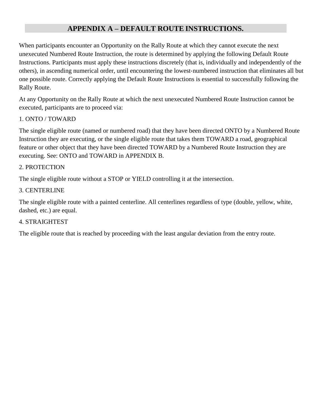#### **APPENDIX A – DEFAULT ROUTE INSTRUCTIONS.**

When participants encounter an Opportunity on the Rally Route at which they cannot execute the next unexecuted Numbered Route Instruction, the route is determined by applying the following Default Route Instructions. Participants must apply these instructions discretely (that is, individually and independently of the others), in ascending numerical order, until encountering the lowest‐numbered instruction that eliminates all but one possible route. Correctly applying the Default Route Instructions is essential to successfully following the Rally Route.

At any Opportunity on the Rally Route at which the next unexecuted Numbered Route Instruction cannot be executed, participants are to proceed via:

#### 1. ONTO / TOWARD

The single eligible route (named or numbered road) that they have been directed ONTO by a Numbered Route Instruction they are executing, or the single eligible route that takes them TOWARD a road, geographical feature or other object that they have been directed TOWARD by a Numbered Route Instruction they are executing. See: ONTO and TOWARD in APPENDIX B.

#### 2. PROTECTION

The single eligible route without a STOP or YIELD controlling it at the intersection.

#### 3. CENTERLINE

The single eligible route with a painted centerline. All centerlines regardless of type (double, yellow, white, dashed, etc.) are equal.

#### 4. STRAIGHTEST

The eligible route that is reached by proceeding with the least angular deviation from the entry route.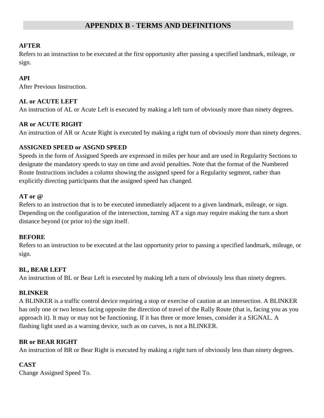#### **APPENDIX B - TERMS AND DEFINITIONS**

#### **AFTER**

Refers to an instruction to be executed at the first opportunity after passing a specified landmark, mileage, or sign.

#### **API**

After Previous Instruction.

#### **AL or ACUTE LEFT**

An instruction of AL or Acute Left is executed by making a left turn of obviously more than ninety degrees.

#### **AR or ACUTE RIGHT**

An instruction of AR or Acute Right is executed by making a right turn of obviously more than ninety degrees.

#### **ASSIGNED SPEED or ASGND SPEED**

Speeds in the form of Assigned Speeds are expressed in miles per hour and are used in Regularity Sections to designate the mandatory speeds to stay on time and avoid penalties. Note that the format of the Numbered Route Instructions includes a column showing the assigned speed for a Regularity segment, rather than explicitly directing participants that the assigned speed has changed.

#### **AT or @**

Refers to an instruction that is to be executed immediately adjacent to a given landmark, mileage, or sign. Depending on the configuration of the intersection, turning AT a sign may require making the turn a short distance beyond (or prior to) the sign itself.

#### **BEFORE**

Refers to an instruction to be executed at the last opportunity prior to passing a specified landmark, mileage, or sign.

#### **BL, BEAR LEFT**

An instruction of BL or Bear Left is executed by making left a turn of obviously less than ninety degrees.

#### **BLINKER**

A BLINKER is a traffic control device requiring a stop or exercise of caution at an intersection. A BLINKER has only one or two lenses facing opposite the direction of travel of the Rally Route (that is, facing you as you approach it). It may or may not be functioning. If it has three or more lenses, consider it a SIGNAL. A flashing light used as a warning device, such as on curves, is not a BLINKER.

#### **BR or BEAR RIGHT**

An instruction of BR or Bear Right is executed by making a right turn of obviously less than ninety degrees.

#### **CAST**

Change Assigned Speed To.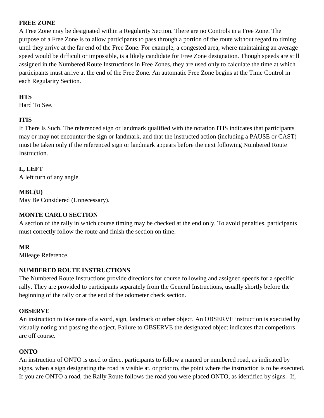#### **FREE ZONE**

A Free Zone may be designated within a Regularity Section. There are no Controls in a Free Zone. The purpose of a Free Zone is to allow participants to pass through a portion of the route without regard to timing until they arrive at the far end of the Free Zone. For example, a congested area, where maintaining an average speed would be difficult or impossible, is a likely candidate for Free Zone designation. Though speeds are still assigned in the Numbered Route Instructions in Free Zones, they are used only to calculate the time at which participants must arrive at the end of the Free Zone. An automatic Free Zone begins at the Time Control in each Regularity Section.

#### **HTS**

Hard To See.

#### **ITIS**

If There Is Such. The referenced sign or landmark qualified with the notation ITIS indicates that participants may or may not encounter the sign or landmark, and that the instructed action (including a PAUSE or CAST) must be taken only if the referenced sign or landmark appears before the next following Numbered Route Instruction.

#### **L, LEFT**

A left turn of any angle.

#### **MBC(U)**

May Be Considered (Unnecessary).

#### **MONTE CARLO SECTION**

A section of the rally in which course timing may be checked at the end only. To avoid penalties, participants must correctly follow the route and finish the section on time.

#### **MR**

Mileage Reference.

#### **NUMBERED ROUTE INSTRUCTIONS**

The Numbered Route Instructions provide directions for course following and assigned speeds for a specific rally. They are provided to participants separately from the General Instructions, usually shortly before the beginning of the rally or at the end of the odometer check section.

#### **OBSERVE**

An instruction to take note of a word, sign, landmark or other object. An OBSERVE instruction is executed by visually noting and passing the object. Failure to OBSERVE the designated object indicates that competitors are off course.

#### **ONTO**

An instruction of ONTO is used to direct participants to follow a named or numbered road, as indicated by signs, when a sign designating the road is visible at, or prior to, the point where the instruction is to be executed. If you are ONTO a road, the Rally Route follows the road you were placed ONTO, as identified by signs. If,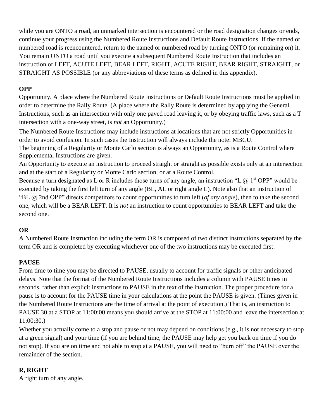while you are ONTO a road, an unmarked intersection is encountered or the road designation changes or ends, continue your progress using the Numbered Route Instructions and Default Route Instructions. If the named or numbered road is reencountered, return to the named or numbered road by turning ONTO (or remaining on) it. You remain ONTO a road until you execute a subsequent Numbered Route Instruction that includes an instruction of LEFT, ACUTE LEFT, BEAR LEFT, RIGHT, ACUTE RIGHT, BEAR RIGHT, STRAIGHT, or STRAIGHT AS POSSIBLE (or any abbreviations of these terms as defined in this appendix).

#### **OPP**

Opportunity. A place where the Numbered Route Instructions or Default Route Instructions must be applied in order to determine the Rally Route. (A place where the Rally Route is determined by applying the General Instructions, such as an intersection with only one paved road leaving it, or by obeying traffic laws, such as a T intersection with a one-way street, is *not* an Opportunity.)

The Numbered Route Instructions may include instructions at locations that are not strictly Opportunities in order to avoid confusion. In such cases the Instruction will always include the note: MBCU.

The beginning of a Regularity or Monte Carlo section is always an Opportunity, as is a Route Control where Supplemental Instructions are given.

An Opportunity to execute an instruction to proceed straight or straight as possible exists only at an intersection and at the start of a Regularity or Monte Carlo section, or at a Route Control.

Because a turn designated as L or R includes those turns of any angle, an instruction "L  $(2)$  1<sup>st</sup> OPP" would be executed by taking the first left turn of any angle (BL, AL or right angle L). Note also that an instruction of "BL @ 2nd OPP" directs competitors to count opportunities to turn left (*of any angle*), then to take the second one, which will be a BEAR LEFT. It is *not* an instruction to count opportunities to BEAR LEFT and take the second one.

#### **OR**

A Numbered Route Instruction including the term OR is composed of two distinct instructions separated by the term OR and is completed by executing whichever one of the two instructions may be executed first.

#### **PAUSE**

From time to time you may be directed to PAUSE, usually to account for traffic signals or other anticipated delays. Note that the format of the Numbered Route Instructions includes a column with PAUSE times in seconds, rather than explicit instructions to PAUSE in the text of the instruction. The proper procedure for a pause is to account for the PAUSE time in your calculations at the point the PAUSE is given. (Times given in the Numbered Route Instructions are the time of arrival at the point of execution.) That is, an instruction to PAUSE 30 at a STOP at 11:00:00 means you should arrive at the STOP at 11:00:00 and leave the intersection at 11:00:30.)

Whether you actually come to a stop and pause or not may depend on conditions (e.g., it is not necessary to stop at a green signal) and your time (if you are behind time, the PAUSE may help get you back on time if you do not stop). If you are on time and not able to stop at a PAUSE, you will need to "burn off" the PAUSE over the remainder of the section.

#### **R, RIGHT**

A right turn of any angle.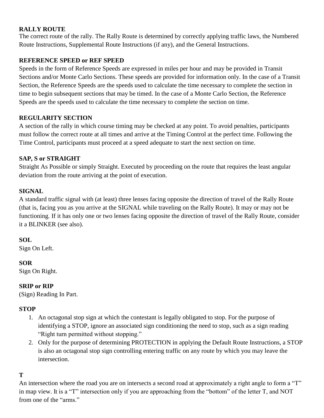#### **RALLY ROUTE**

The correct route of the rally. The Rally Route is determined by correctly applying traffic laws, the Numbered Route Instructions, Supplemental Route Instructions (if any), and the General Instructions.

#### **REFERENCE SPEED or REF SPEED**

Speeds in the form of Reference Speeds are expressed in miles per hour and may be provided in Transit Sections and/or Monte Carlo Sections. These speeds are provided for information only. In the case of a Transit Section, the Reference Speeds are the speeds used to calculate the time necessary to complete the section in time to begin subsequent sections that may be timed. In the case of a Monte Carlo Section, the Reference Speeds are the speeds used to calculate the time necessary to complete the section on time.

#### **REGULARITY SECTION**

A section of the rally in which course timing may be checked at any point. To avoid penalties, participants must follow the correct route at all times and arrive at the Timing Control at the perfect time. Following the Time Control, participants must proceed at a speed adequate to start the next section on time.

#### **SAP, S or STRAIGHT**

Straight As Possible or simply Straight. Executed by proceeding on the route that requires the least angular deviation from the route arriving at the point of execution.

#### **SIGNAL**

A standard traffic signal with (at least) three lenses facing opposite the direction of travel of the Rally Route (that is, facing you as you arrive at the SIGNAL while traveling on the Rally Route). It may or may not be functioning. If it has only one or two lenses facing opposite the direction of travel of the Rally Route, consider it a BLINKER (see also).

#### **SOL**

Sign On Left.

#### **SOR**

Sign On Right.

#### **SRIP or RIP**

(Sign) Reading In Part.

#### **STOP**

- 1. An octagonal stop sign at which the contestant is legally obligated to stop. For the purpose of identifying a STOP, ignore an associated sign conditioning the need to stop, such as a sign reading "Right turn permitted without stopping."
- 2. Only for the purpose of determining PROTECTION in applying the Default Route Instructions, a STOP is also an octagonal stop sign controlling entering traffic on any route by which you may leave the intersection.

#### **T**

An intersection where the road you are on intersects a second road at approximately a right angle to form a "T" in map view. It is a "T" intersection only if you are approaching from the "bottom" of the letter T, and NOT from one of the "arms."